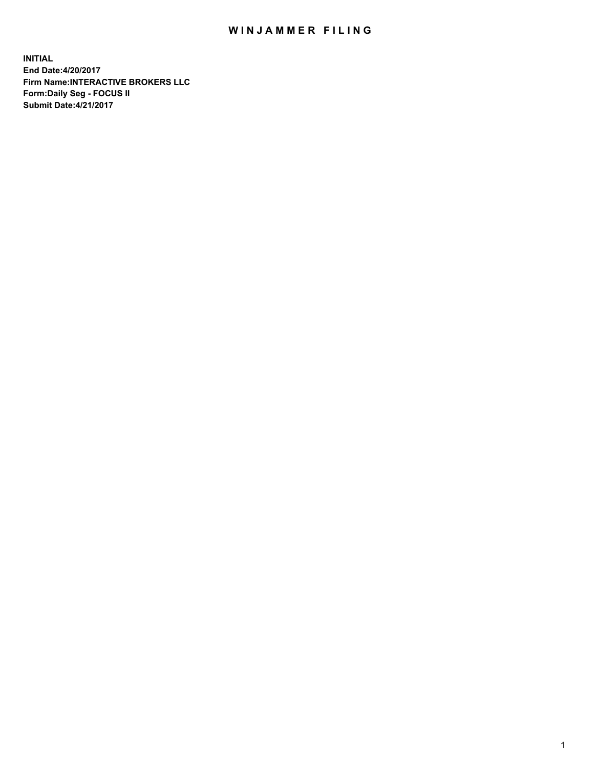## WIN JAMMER FILING

**INITIAL End Date:4/20/2017 Firm Name:INTERACTIVE BROKERS LLC Form:Daily Seg - FOCUS II Submit Date:4/21/2017**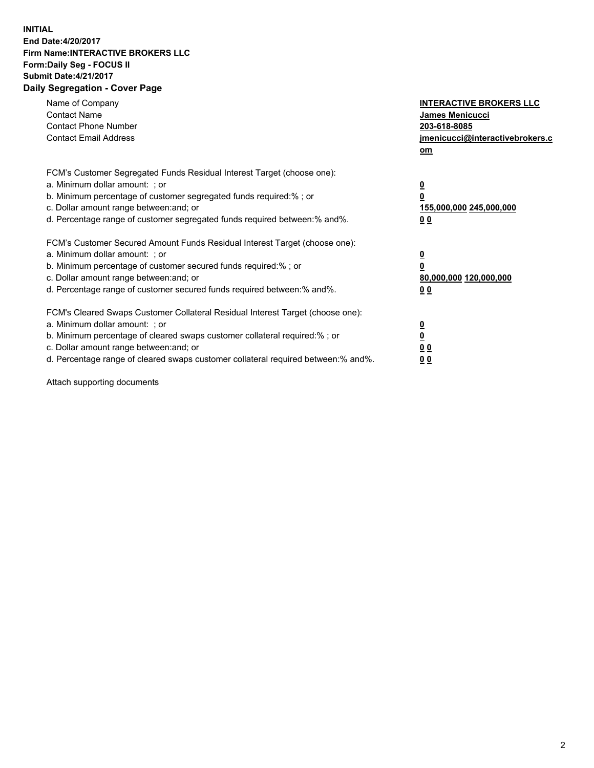## **INITIAL End Date:4/20/2017 Firm Name:INTERACTIVE BROKERS LLC Form:Daily Seg - FOCUS II Submit Date:4/21/2017 Daily Segregation - Cover Page**

| Name of Company<br><b>Contact Name</b><br><b>Contact Phone Number</b><br><b>Contact Email Address</b>                                                                                                                                                                                                                          | <b>INTERACTIVE BROKERS LLC</b><br><b>James Menicucci</b><br>203-618-8085<br>jmenicucci@interactivebrokers.c<br>om |
|--------------------------------------------------------------------------------------------------------------------------------------------------------------------------------------------------------------------------------------------------------------------------------------------------------------------------------|-------------------------------------------------------------------------------------------------------------------|
| FCM's Customer Segregated Funds Residual Interest Target (choose one):<br>a. Minimum dollar amount: ; or<br>b. Minimum percentage of customer segregated funds required:%; or<br>c. Dollar amount range between: and; or<br>d. Percentage range of customer segregated funds required between:% and%.                          | $\overline{\mathbf{0}}$<br>0<br>155,000,000 245,000,000<br>0 <sub>0</sub>                                         |
| FCM's Customer Secured Amount Funds Residual Interest Target (choose one):<br>a. Minimum dollar amount: ; or<br>b. Minimum percentage of customer secured funds required:%; or<br>c. Dollar amount range between: and; or<br>d. Percentage range of customer secured funds required between: % and %.                          | $\overline{\mathbf{0}}$<br>0<br>80,000,000 120,000,000<br>0 <sub>0</sub>                                          |
| FCM's Cleared Swaps Customer Collateral Residual Interest Target (choose one):<br>a. Minimum dollar amount: ; or<br>b. Minimum percentage of cleared swaps customer collateral required:% ; or<br>c. Dollar amount range between: and; or<br>d. Percentage range of cleared swaps customer collateral required between:% and%. | $\overline{\mathbf{0}}$<br>$\overline{\mathbf{0}}$<br>0 <sub>0</sub><br><u>00</u>                                 |

Attach supporting documents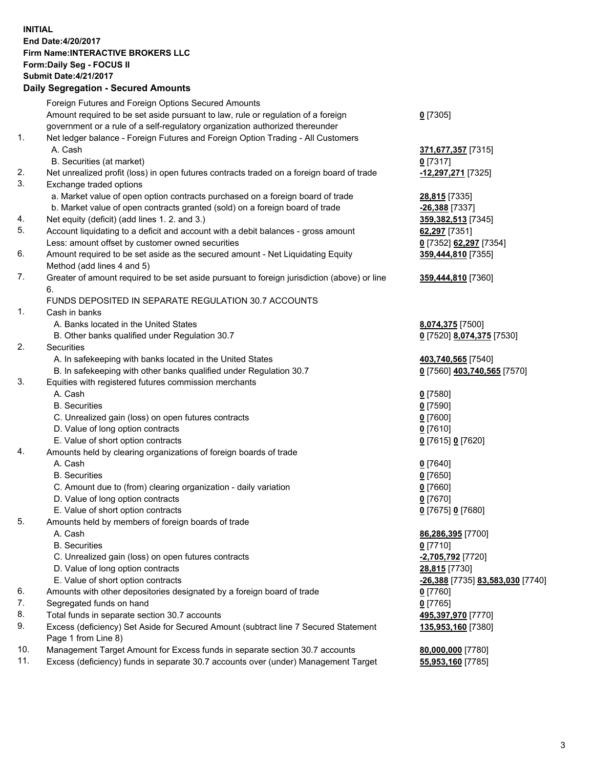## **INITIAL End Date:4/20/2017 Firm Name:INTERACTIVE BROKERS LLC Form:Daily Seg - FOCUS II Submit Date:4/21/2017 Daily Segregation - Secured Amounts**

|          | Dany Ocgregation - Oceanea Annoanta                                                         |                                  |
|----------|---------------------------------------------------------------------------------------------|----------------------------------|
|          | Foreign Futures and Foreign Options Secured Amounts                                         |                                  |
|          | Amount required to be set aside pursuant to law, rule or regulation of a foreign            | $0$ [7305]                       |
|          | government or a rule of a self-regulatory organization authorized thereunder                |                                  |
| 1.       | Net ledger balance - Foreign Futures and Foreign Option Trading - All Customers             |                                  |
|          | A. Cash                                                                                     | 371,677,357 [7315]               |
|          | B. Securities (at market)                                                                   | $0$ [7317]                       |
| 2.       | Net unrealized profit (loss) in open futures contracts traded on a foreign board of trade   | -12,297,271 [7325]               |
| 3.       | Exchange traded options                                                                     |                                  |
|          | a. Market value of open option contracts purchased on a foreign board of trade              | 28,815 [7335]                    |
|          |                                                                                             | $-26,388$ [7337]                 |
|          | b. Market value of open contracts granted (sold) on a foreign board of trade                |                                  |
| 4.       | Net equity (deficit) (add lines 1.2. and 3.)                                                | 359,382,513 [7345]               |
| 5.       | Account liquidating to a deficit and account with a debit balances - gross amount           | 62,297 [7351]                    |
|          | Less: amount offset by customer owned securities                                            | 0 [7352] 62,297 [7354]           |
| 6.       | Amount required to be set aside as the secured amount - Net Liquidating Equity              | 359,444,810 [7355]               |
|          | Method (add lines 4 and 5)                                                                  |                                  |
| 7.       | Greater of amount required to be set aside pursuant to foreign jurisdiction (above) or line | 359,444,810 [7360]               |
|          | 6.                                                                                          |                                  |
|          | FUNDS DEPOSITED IN SEPARATE REGULATION 30.7 ACCOUNTS                                        |                                  |
| 1.       | Cash in banks                                                                               |                                  |
|          | A. Banks located in the United States                                                       | 8,074,375 [7500]                 |
|          | B. Other banks qualified under Regulation 30.7                                              | 0 [7520] 8,074,375 [7530]        |
| 2.       | Securities                                                                                  |                                  |
|          | A. In safekeeping with banks located in the United States                                   | 403,740,565 [7540]               |
|          | B. In safekeeping with other banks qualified under Regulation 30.7                          | 0 [7560] 403,740,565 [7570]      |
| 3.       | Equities with registered futures commission merchants                                       |                                  |
|          | A. Cash                                                                                     | $0$ [7580]                       |
|          | <b>B.</b> Securities                                                                        | $0$ [7590]                       |
|          | C. Unrealized gain (loss) on open futures contracts                                         | $0$ [7600]                       |
|          | D. Value of long option contracts                                                           | $0$ [7610]                       |
|          | E. Value of short option contracts                                                          | 0 [7615] 0 [7620]                |
| 4.       | Amounts held by clearing organizations of foreign boards of trade                           |                                  |
|          | A. Cash                                                                                     | $0$ [7640]                       |
|          | <b>B.</b> Securities                                                                        | $0$ [7650]                       |
|          | C. Amount due to (from) clearing organization - daily variation                             | $0$ [7660]                       |
|          | D. Value of long option contracts                                                           | $0$ [7670]                       |
|          | E. Value of short option contracts                                                          | 0 [7675] 0 [7680]                |
| 5.       | Amounts held by members of foreign boards of trade                                          |                                  |
|          | A. Cash                                                                                     | 86,286,395 [7700]                |
|          | <b>B.</b> Securities                                                                        | $0$ [7710]                       |
|          | C. Unrealized gain (loss) on open futures contracts                                         | -2,705,792 <sup>[7720]</sup>     |
|          | D. Value of long option contracts                                                           | 28,815 [7730]                    |
|          | E. Value of short option contracts                                                          | -26,388 [7735] 83,583,030 [7740] |
| 6.       | Amounts with other depositories designated by a foreign board of trade                      | 0 [7760]                         |
| 7.       | Segregated funds on hand                                                                    |                                  |
|          |                                                                                             | $0$ [7765]                       |
| 8.<br>9. | Total funds in separate section 30.7 accounts                                               | 495,397,970 [7770]               |
|          | Excess (deficiency) Set Aside for Secured Amount (subtract line 7 Secured Statement         | 135,953,160 [7380]               |
|          | Page 1 from Line 8)                                                                         |                                  |
| 10.      | Management Target Amount for Excess funds in separate section 30.7 accounts                 | 80,000,000 [7780]                |
| 11.      | Excess (deficiency) funds in separate 30.7 accounts over (under) Management Target          | 55,953,160 [7785]                |
|          |                                                                                             |                                  |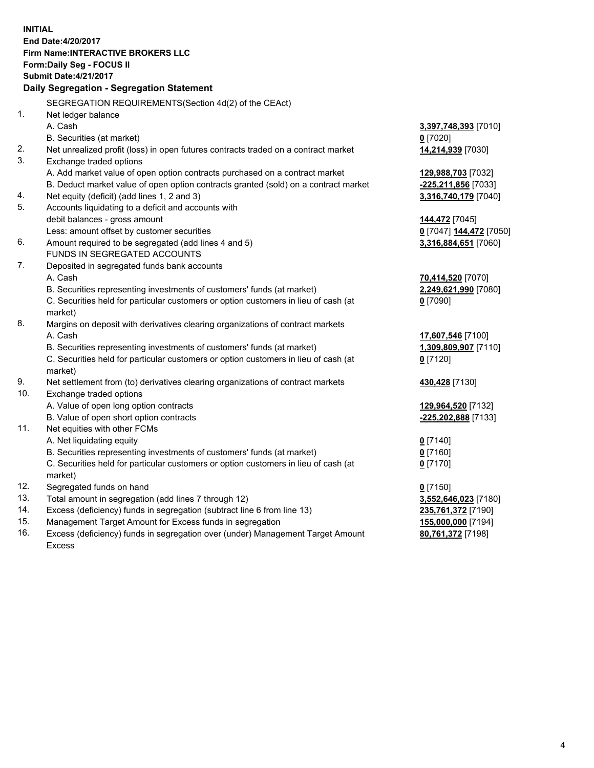**INITIAL End Date:4/20/2017 Firm Name:INTERACTIVE BROKERS LLC Form:Daily Seg - FOCUS II Submit Date:4/21/2017 Daily Segregation - Segregation Statement** SEGREGATION REQUIREMENTS(Section 4d(2) of the CEAct) 1. Net ledger balance A. Cash **3,397,748,393** [7010] B. Securities (at market) **0** [7020] 2. Net unrealized profit (loss) in open futures contracts traded on a contract market **14,214,939** [7030] 3. Exchange traded options A. Add market value of open option contracts purchased on a contract market **129,988,703** [7032] B. Deduct market value of open option contracts granted (sold) on a contract market **-225,211,856** [7033] 4. Net equity (deficit) (add lines 1, 2 and 3) **3,316,740,179** [7040] 5. Accounts liquidating to a deficit and accounts with debit balances - gross amount **144,472** [7045] Less: amount offset by customer securities **0** [7047] **144,472** [7050] 6. Amount required to be segregated (add lines 4 and 5) **3,316,884,651** [7060] FUNDS IN SEGREGATED ACCOUNTS 7. Deposited in segregated funds bank accounts A. Cash **70,414,520** [7070] B. Securities representing investments of customers' funds (at market) **2,249,621,990** [7080] C. Securities held for particular customers or option customers in lieu of cash (at market) **0** [7090] 8. Margins on deposit with derivatives clearing organizations of contract markets A. Cash **17,607,546** [7100] B. Securities representing investments of customers' funds (at market) **1,309,809,907** [7110] C. Securities held for particular customers or option customers in lieu of cash (at market) **0** [7120] 9. Net settlement from (to) derivatives clearing organizations of contract markets **430,428** [7130] 10. Exchange traded options A. Value of open long option contracts **129,964,520** [7132] B. Value of open short option contracts **-225,202,888** [7133] 11. Net equities with other FCMs A. Net liquidating equity **0** [7140] B. Securities representing investments of customers' funds (at market) **0** [7160] C. Securities held for particular customers or option customers in lieu of cash (at market) **0** [7170] 12. Segregated funds on hand **0** [7150] 13. Total amount in segregation (add lines 7 through 12) **3,552,646,023** [7180] 14. Excess (deficiency) funds in segregation (subtract line 6 from line 13) **235,761,372** [7190] 15. Management Target Amount for Excess funds in segregation **155,000,000** [7194]

16. Excess (deficiency) funds in segregation over (under) Management Target Amount Excess

**80,761,372** [7198]